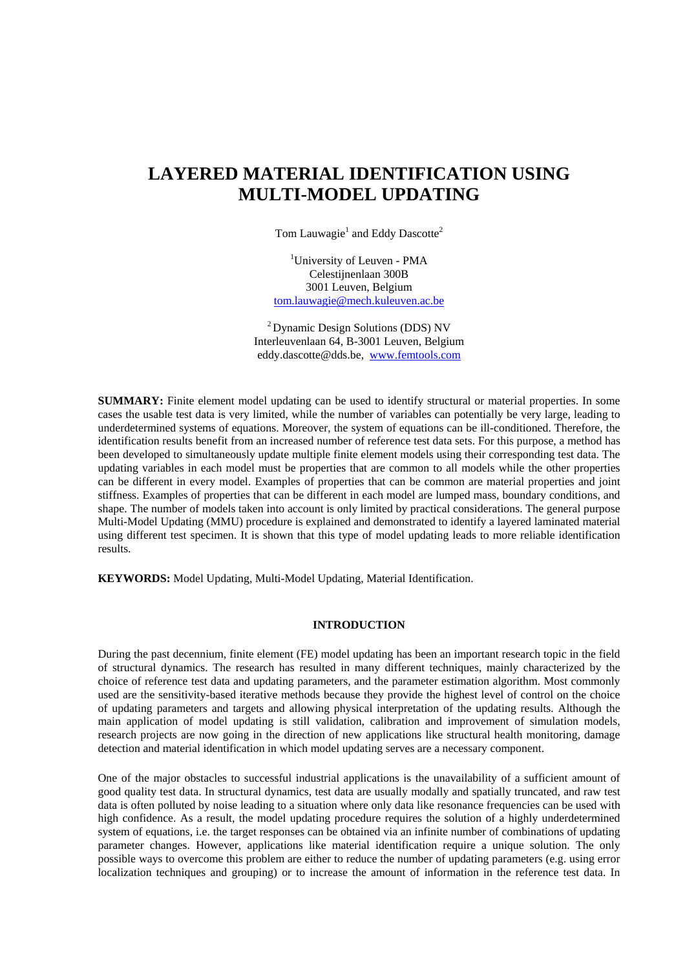# **LAYERED MATERIAL IDENTIFICATION USING MULTI-MODEL UPDATING**

Tom Lauwagie<sup>1</sup> and Eddy Dascotte<sup>2</sup>

1 University of Leuven - PMA [Celestijnenlaan 300B](mailto:tom.lauwagie@mech.kuleuven.ac.be)  [3001 Leuven, Belgium](mailto:tom.lauwagie@mech.kuleuven.ac.be)  tom.lauwagie@mech.kuleuven.ac.be

2 Dynamic Design Solutions (DDS) NV Interleuvenlaan 64, B-3001 Leuven, Belgium eddy.dascotte@dds.be, www.femtools.com

**SUMMARY:** Finite element model updating can be used to identify structural or material properties. In some cases the usable test data is very limited, while the number of variables can potentially be very large, leading to underdetermined systems of equations. Moreover, the system of equations can be ill-conditioned. Therefore, the identification results benefit from an increased number of reference test data sets. For this purpose, a method has been developed to simultaneously update multiple finite element models using their corresponding test data. The updating variables in each model must be properties that are common to all models while the other properties can be different in every model. Examples of properties that can be common are material properties and joint stiffness. Examples of properties that can be different in each model are lumped mass, boundary conditions, and shape. The number of models taken into account is only limited by practical considerations. The general purpose Multi-Model Updating (MMU) procedure is explained and demonstrated to identify a layered laminated material using different test specimen. It is shown that this type of model updating leads to more reliable identification results.

**KEYWORDS:** Model Updating, Multi-Model Updating, Material Identification.

## **INTRODUCTION**

During the past decennium, finite element (FE) model updating has been an important research topic in the field of structural dynamics. The research has resulted in many different techniques, mainly characterized by the choice of reference test data and updating parameters, and the parameter estimation algorithm. Most commonly used are the sensitivity-based iterative methods because they provide the highest level of control on the choice of updating parameters and targets and allowing physical interpretation of the updating results. Although the main application of model updating is still validation, calibration and improvement of simulation models, research projects are now going in the direction of new applications like structural health monitoring, damage detection and material identification in which model updating serves are a necessary component.

One of the major obstacles to successful industrial applications is the unavailability of a sufficient amount of good quality test data. In structural dynamics, test data are usually modally and spatially truncated, and raw test data is often polluted by noise leading to a situation where only data like resonance frequencies can be used with high confidence. As a result, the model updating procedure requires the solution of a highly underdetermined system of equations, i.e. the target responses can be obtained via an infinite number of combinations of updating parameter changes. However, applications like material identification require a unique solution. The only possible ways to overcome this problem are either to reduce the number of updating parameters (e.g. using error localization techniques and grouping) or to increase the amount of information in the reference test data. In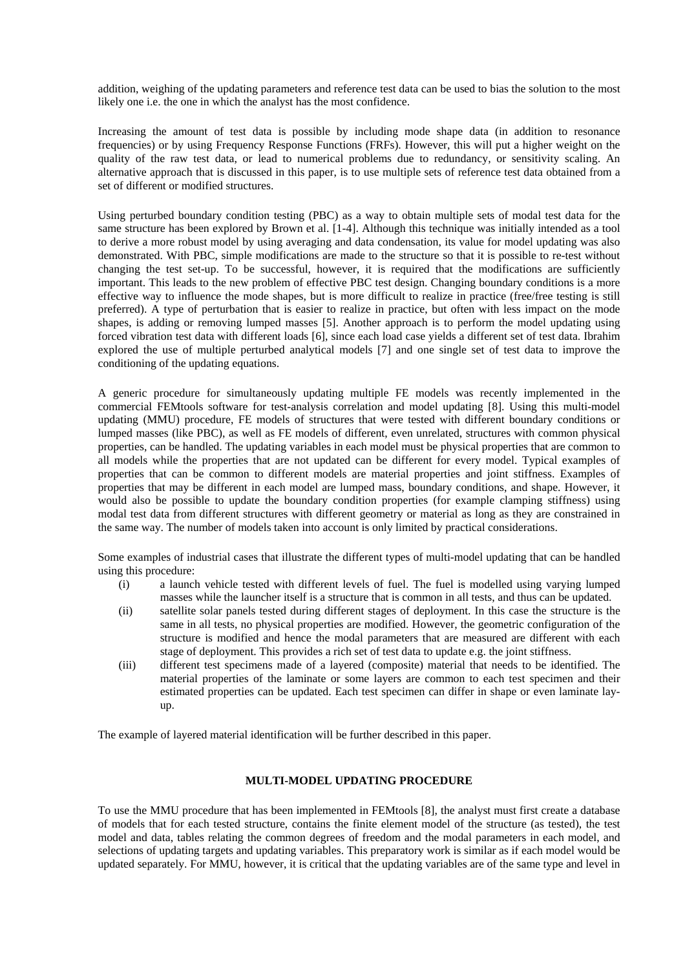addition, weighing of the updating parameters and reference test data can be used to bias the solution to the most likely one i.e. the one in which the analyst has the most confidence.

Increasing the amount of test data is possible by including mode shape data (in addition to resonance frequencies) or by using Frequency Response Functions (FRFs). However, this will put a higher weight on the quality of the raw test data, or lead to numerical problems due to redundancy, or sensitivity scaling. An alternative approach that is discussed in this paper, is to use multiple sets of reference test data obtained from a set of different or modified structures.

Using perturbed boundary condition testing (PBC) as a way to obtain multiple sets of modal test data for the same structure has been explored by Brown et al. [1-4]. Although this technique was initially intended as a tool to derive a more robust model by using averaging and data condensation, its value for model updating was also demonstrated. With PBC, simple modifications are made to the structure so that it is possible to re-test without changing the test set-up. To be successful, however, it is required that the modifications are sufficiently important. This leads to the new problem of effective PBC test design. Changing boundary conditions is a more effective way to influence the mode shapes, but is more difficult to realize in practice (free/free testing is still preferred). A type of perturbation that is easier to realize in practice, but often with less impact on the mode shapes, is adding or removing lumped masses [5]. Another approach is to perform the model updating using forced vibration test data with different loads [6], since each load case yields a different set of test data. Ibrahim explored the use of multiple perturbed analytical models [7] and one single set of test data to improve the conditioning of the updating equations.

A generic procedure for simultaneously updating multiple FE models was recently implemented in the commercial FEMtools software for test-analysis correlation and model updating [8]. Using this multi-model updating (MMU) procedure, FE models of structures that were tested with different boundary conditions or lumped masses (like PBC), as well as FE models of different, even unrelated, structures with common physical properties, can be handled. The updating variables in each model must be physical properties that are common to all models while the properties that are not updated can be different for every model. Typical examples of properties that can be common to different models are material properties and joint stiffness. Examples of properties that may be different in each model are lumped mass, boundary conditions, and shape. However, it would also be possible to update the boundary condition properties (for example clamping stiffness) using modal test data from different structures with different geometry or material as long as they are constrained in the same way. The number of models taken into account is only limited by practical considerations.

Some examples of industrial cases that illustrate the different types of multi-model updating that can be handled using this procedure:

- (i) a launch vehicle tested with different levels of fuel. The fuel is modelled using varying lumped masses while the launcher itself is a structure that is common in all tests, and thus can be updated.
- (ii) satellite solar panels tested during different stages of deployment. In this case the structure is the same in all tests, no physical properties are modified. However, the geometric configuration of the structure is modified and hence the modal parameters that are measured are different with each stage of deployment. This provides a rich set of test data to update e.g. the joint stiffness.
- (iii) different test specimens made of a layered (composite) material that needs to be identified. The material properties of the laminate or some layers are common to each test specimen and their estimated properties can be updated. Each test specimen can differ in shape or even laminate layup.

The example of layered material identification will be further described in this paper.

## **MULTI-MODEL UPDATING PROCEDURE**

To use the MMU procedure that has been implemented in FEMtools [8], the analyst must first create a database of models that for each tested structure, contains the finite element model of the structure (as tested), the test model and data, tables relating the common degrees of freedom and the modal parameters in each model, and selections of updating targets and updating variables. This preparatory work is similar as if each model would be updated separately. For MMU, however, it is critical that the updating variables are of the same type and level in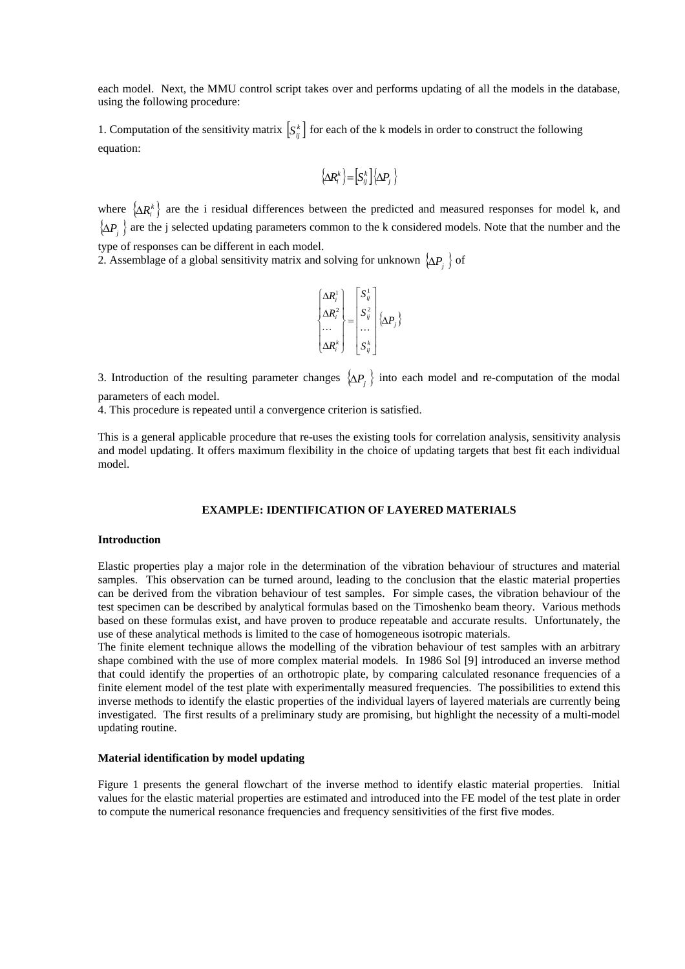each model. Next, the MMU control script takes over and performs updating of all the models in the database, using the following procedure:

1. Computation of the sensitivity matrix  $S_{ij}^k$  for each of the k models in order to construct the following equation:

$$
\left\{\!\Delta \!R_i^k\right\}\!=\!\!\left[S_{ij}^k\right]\!\!\left\{\!\Delta \!P_j\right\}
$$

where  $\{\Delta R_i^k\}$  are the i residual differences between the predicted and measured responses for model k, and {∆*Pj* } are the j selected updating parameters common to the k considered models. Note that the number and the type of responses can be different in each model.

2. Assemblage of a global sensitivity matrix and solving for unknown  $\{\Delta P_i\}$  of

$$
\begin{Bmatrix}\n\Delta R_i^1 \\
\Delta R_i^2 \\
\vdots \\
\Delta R_i^k\n\end{Bmatrix} = \begin{bmatrix}\nS_{ij}^1 \\
S_{ij}^2 \\
\vdots \\
S_{ij}^k\n\end{bmatrix} \{\Delta P_j\}
$$

3. Introduction of the resulting parameter changes  $\{\Delta P_j\}$  into each model and re-computation of the modal parameters of each model.

4. This procedure is repeated until a convergence criterion is satisfied.

This is a general applicable procedure that re-uses the existing tools for correlation analysis, sensitivity analysis and model updating. It offers maximum flexibility in the choice of updating targets that best fit each individual model.

## **EXAMPLE: IDENTIFICATION OF LAYERED MATERIALS**

#### **Introduction**

Elastic properties play a major role in the determination of the vibration behaviour of structures and material samples. This observation can be turned around, leading to the conclusion that the elastic material properties can be derived from the vibration behaviour of test samples. For simple cases, the vibration behaviour of the test specimen can be described by analytical formulas based on the Timoshenko beam theory. Various methods based on these formulas exist, and have proven to produce repeatable and accurate results. Unfortunately, the use of these analytical methods is limited to the case of homogeneous isotropic materials.

The finite element technique allows the modelling of the vibration behaviour of test samples with an arbitrary shape combined with the use of more complex material models. In 1986 Sol [9] introduced an inverse method that could identify the properties of an orthotropic plate, by comparing calculated resonance frequencies of a finite element model of the test plate with experimentally measured frequencies. The possibilities to extend this inverse methods to identify the elastic properties of the individual layers of layered materials are currently being investigated. The first results of a preliminary study are promising, but highlight the necessity of a multi-model updating routine.

#### **Material identification by model updating**

Figure 1 presents the general flowchart of the inverse method to identify elastic material properties. Initial values for the elastic material properties are estimated and introduced into the FE model of the test plate in order to compute the numerical resonance frequencies and frequency sensitivities of the first five modes.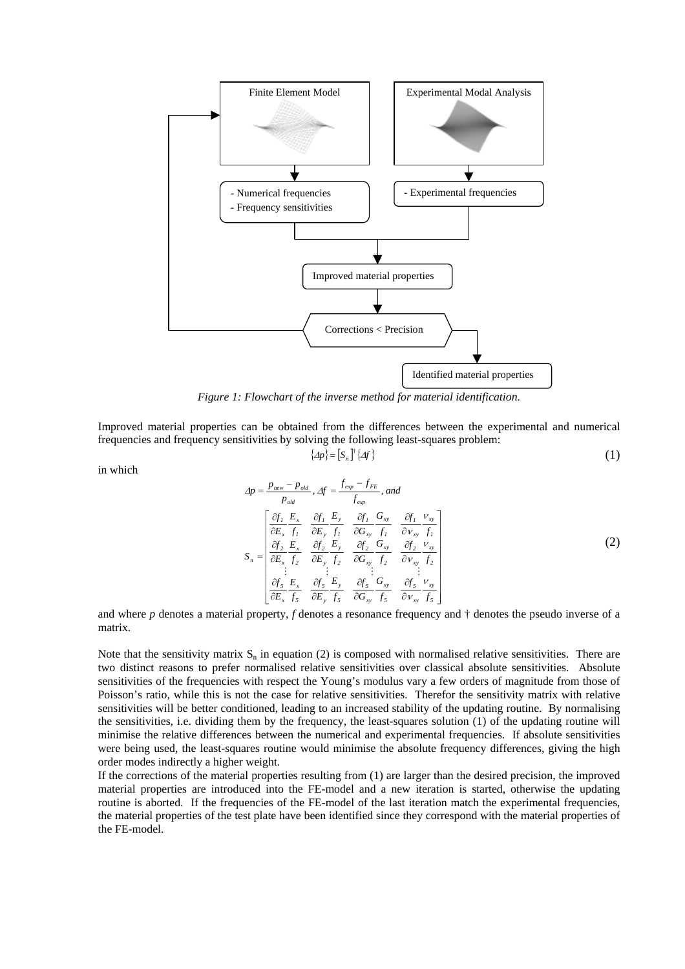

*Figure 1: Flowchart of the inverse method for material identification.* 

Improved material properties can be obtained from the differences between the experimental and numerical frequencies and frequency sensitivities by solving the following least-squares problem:

<span id="page-3-1"></span><span id="page-3-0"></span>
$$
\{\varDelta p\} = [S_n]^{\dagger} \{\varDelta f\} \tag{1}
$$

in which

$$
\Delta p = \frac{p_{new} - p_{old}}{p_{old}}, \Delta f = \frac{f_{exp} - f_{FE}}{f_{exp}}, and
$$
\n
$$
S_n = \begin{bmatrix}\n\frac{\partial f_1}{\partial E_x} \frac{E_x}{f_1} & \frac{\partial f_1}{\partial E_y} \frac{E_y}{f_1} & \frac{\partial f_1}{\partial G_{xy}} \frac{G_x}{f_1} & \frac{\partial f_1}{\partial V_{xy}} \frac{V_{xy}}{f_1} \\
\frac{\partial f_2}{\partial E_x} \frac{E_x}{f_2} & \frac{\partial f_2}{\partial E_y} \frac{E_y}{f_2} & \frac{\partial f_2}{\partial G_{xy}} \frac{G_x}{f_2} & \frac{\partial f_2}{\partial V_{xy}} \frac{V_{xy}}{f_2} \\
\frac{\partial f_2}{\partial E_x} \frac{E_x}{f_3} & \frac{\partial f_2}{\partial E_y} \frac{E_y}{f_3} & \frac{\partial f_3}{\partial G_{xy}} \frac{G_{xy}}{f_3} & \frac{\partial f_3}{\partial V_{xy}} \frac{V_{xy}}{f_3}\n\end{bmatrix}
$$
\n(2)

and where *p* denotes a material property, *f* denotes a resonance frequency and † denotes the pseudo inverse of a matrix.

Note that the sensitivity matrix  $S_n$  in equation [\(2\)](#page-3-0) is composed with normalised relative sensitivities. There are two distinct reasons to prefer normalised relative sensitivities over classical absolute sensitivities. Absolute sensitivities of the frequencies with respect the Young's modulus vary a few orders of magnitude from those of Poisson's ratio, while this is not the case for relative sensitivities. Therefor the sensitivity matrix with relative sensitivities will be better conditioned, leading to an increased stability of the updating routine. By normalising the sensitivities, i.e. dividing them by the frequency, the least-squares solution [\(1\)](#page-3-1) of the updating routine will minimise the relative differences between the numerical and experimental frequencies. If absolute sensitivities were being used, the least-squares routine would minimise the absolute frequency differences, giving the high order modes indirectly a higher weight.

If the corrections of the material properties resulting from [\(1\)](#page-3-1) are larger than the desired precision, the improved material properties are introduced into the FE-model and a new iteration is started, otherwise the updating routine is aborted. If the frequencies of the FE-model of the last iteration match the experimental frequencies, the material properties of the test plate have been identified since they correspond with the material properties of the FE-model.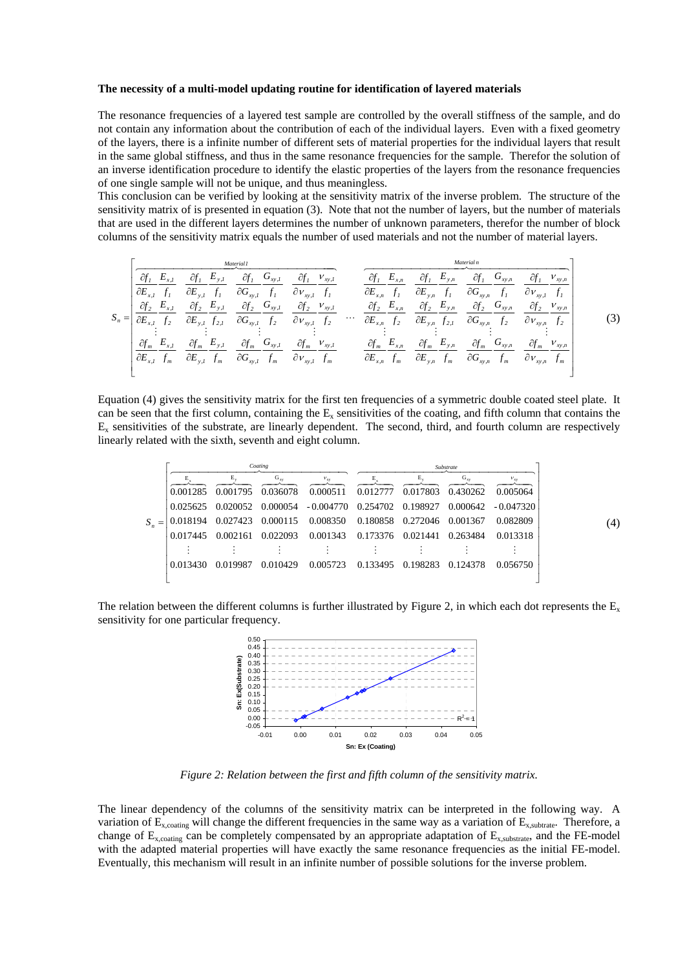#### **The necessity of a multi-model updating routine for identification of layered materials**

The resonance frequencies of a layered test sample are controlled by the overall stiffness of the sample, and do not contain any information about the contribution of each of the individual layers. Even with a fixed geometry of the layers, there is a infinite number of different sets of material properties for the individual layers that result in the same global stiffness, and thus in the same resonance frequencies for the sample. Therefor the solution of an inverse identification procedure to identify the elastic properties of the layers from the resonance frequencies of one single sample will not be unique, and thus meaningless.

This conclusion can be verified by looking at the sensitivity matrix of the inverse problem. The structure of the sensitivity matrix of is presented in equation [\(3\).](#page-4-0) Note that not the number of layers, but the number of materials that are used in the different layers determines the number of unknown parameters, therefor the number of block columns of the sensitivity matrix equals the number of used materials and not the number of material layers.

$$
S_{n} = \begin{bmatrix} \frac{M_{\text{target}}}{\partial E_{x,l}} & \frac{\partial f_{1}}{\partial F_{y,l}} & \frac{E_{y,l}}{\partial G_{xy,l}} & \frac{\partial f_{1}}{\partial F_{y,l}} & \frac{E_{y,l}}{\partial G_{xy,l}} & \frac{\partial f_{1}}{\partial F_{y,l}} & \frac{E_{x,n}}{\partial F_{x,n}} & \frac{\partial f_{1}}{\partial F_{y,n}} & \frac{E_{y,n}}{\partial G_{xy,n}} & \frac{\partial f_{1}}{\partial F_{y,n}} & \frac{E_{y,n}}{\partial G_{xy,l}} & \frac{\partial f_{1}}{\partial F_{y,n}} & \frac{E_{y,n}}{\partial G_{xy,n}} & \frac{\partial f_{1}}{\partial G_{xy,n}} & \frac{E_{y,n}}{\partial G_{xy,l}} & \frac{\partial f_{2}}{\partial G_{xy,l}} & \frac{E_{y,l}}{\partial G_{xy,l}} & \frac{\partial f_{2}}{\partial G_{xy,l}} & \frac{E_{y,n}}{\partial G_{xy,l}} & \frac{\partial f_{2}}{\partial G_{xy,l}} & \frac{E_{y,n}}{\partial G_{xy,l}} & \frac{\partial f_{2}}{\partial G_{xy,n}} & \frac{E_{y,n}}{\partial G_{xy,n}} & \frac{\partial f_{2}}{\partial G_{xy,n}} & \frac{E_{y,n}}{\partial G_{xy,n}} & \frac{\partial f_{2}}{\partial G_{xy,n}} & \frac{E_{y,n}}{\partial G_{xy,n}} & \frac{\partial f_{2}}{\partial G_{xy,n}} & \frac{E_{y,n}}{\partial G_{xy,n}} & \frac{\partial f_{2}}{\partial G_{xy,n}} & \frac{E_{y,n}}{\partial G_{xy,n}} & \frac{\partial f_{2}}{\partial G_{xy,n}} & \frac{E_{y,n}}{\partial G_{xy,n}} & \frac{\partial f_{2}}{\partial G_{xy,n}} & \frac{E_{y,n}}{\partial G_{xy,n}} & \frac{\partial f_{2}}{\partial G_{xy,n}} & \frac{E_{y,n}}{\partial G_{xy,n}} & \frac{\partial f_{2}}{\partial G_{xy,n}} & \frac{E_{y,n}}{\partial G_{xy,n}} & \frac{\partial f_{2}}{\partial G_{xy,n}} & \frac{E_{y,n}}{\partial G_{xy,n}} & \frac{\partial f_{2}}{\partial G_{xy,n}} & \frac{E_{y,n}}{\partial G_{xy,n}} & \frac{\partial f_{2}}{\partial G_{xy,n}} & \frac{E_{y,n}}{\partial G_{xy,n}} & \frac{\partial f_{2}}{\partial G_{xy,n}} & \frac{E_{y,n}}{\
$$

Equation [\(4\)](#page-4-1) gives the sensitivity matrix for the first ten frequencies of a symmetric double coated steel plate. It can be seen that the first column, containing the  $E<sub>x</sub>$  sensitivities of the coating, and fifth column that contains the  $E<sub>x</sub>$  sensitivities of the substrate, are linearly dependent. The second, third, and fourth column are respectively linearly related with the sixth, seventh and eight column.

<span id="page-4-0"></span>

|           | Coating  |                |                      |                                              | Substrate                  |                   |                      |                          |  |
|-----------|----------|----------------|----------------------|----------------------------------------------|----------------------------|-------------------|----------------------|--------------------------|--|
|           | 0.001285 | Е.<br>0.001795 | $G_{xy}$<br>0.036078 | $V_{\text{xy}}$<br>0.000511                  | Е.<br>0.012777             | Е.<br>0.017803    | $G_{xy}$<br>0.430262 | $v_{\rm xv}$<br>0.005064 |  |
|           | 0.025625 | 0.020052       | 0.000054             | - 0.004770                                   | 0.254702 0.198927          |                   | 0.000642             | $-0.047320$              |  |
| $S_{-} =$ | 0.018194 |                |                      | 0.027423 0.000115 0.008350 0.180858 0.272046 |                            |                   | 0.001367             | 0.082809                 |  |
|           | 0.017445 | 0.002161       | 0.022093             |                                              | 0.001343 0.173376 0.021441 |                   | 0.263484             | 0.013318                 |  |
|           |          |                |                      |                                              |                            |                   |                      |                          |  |
|           | 0.013430 | 0.019987       | 0.010429             | 0.005723                                     |                            | 0.133495 0.198283 | 0.124378             | 0.056750                 |  |
|           |          |                |                      |                                              |                            |                   |                      |                          |  |

The relation between the different columns is further illustrated by [Figure 2,](#page-4-2) in which each dot represents the  $E_x$ sensitivity for one particular frequency.

<span id="page-4-2"></span><span id="page-4-1"></span>

*Figure 2: Relation between the first and fifth column of the sensitivity matrix.*

The linear dependency of the columns of the sensitivity matrix can be interpreted in the following way. A variation of  $E_{x,\text{coating}}$  will change the different frequencies in the same way as a variation of  $E_{x,\text{subtrate}}$ . Therefore, a change of  $E_{x, coating}$  can be completely compensated by an appropriate adaptation of  $E_{x,substrate}$ , and the FE-model with the adapted material properties will have exactly the same resonance frequencies as the initial FE-model. Eventually, this mechanism will result in an infinite number of possible solutions for the inverse problem.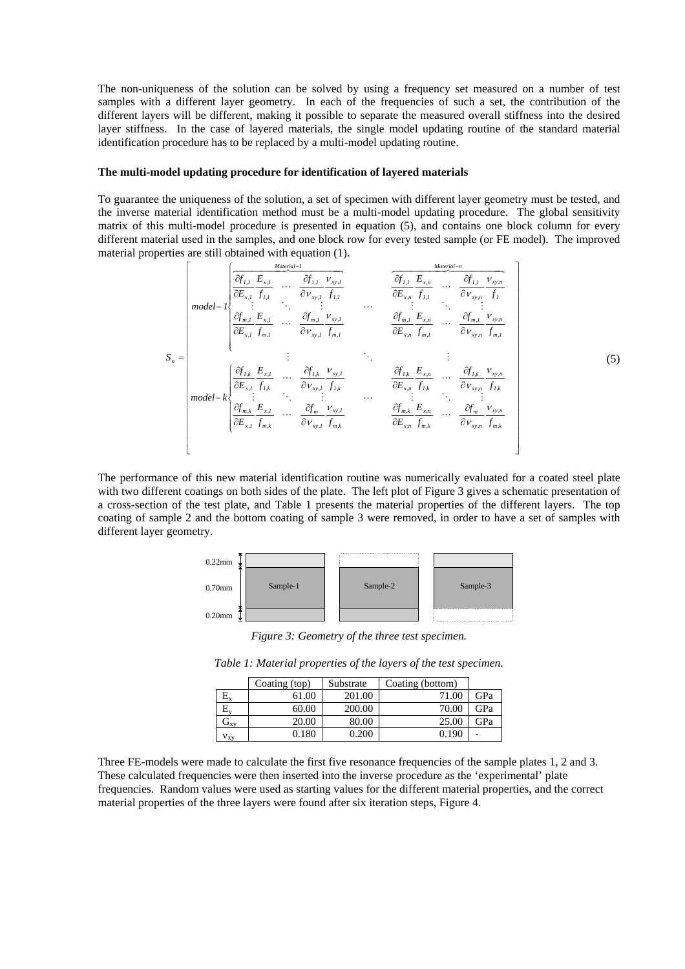The non-uniqueness of the solution can be solved by using a frequency set measured on a number of test samples with a different layer geometry. In each of the frequencies of such a set, the contribution of the different layers will be different, making it possible to separate the measured overall stiffness into the desired layer stiffness. In the case of layered materials, the single model updating routine of the standard material identification procedure has to be replaced by a multi-model updating routine.

## **The multi-model updating procedure for identification of layered materials**

To guarantee the uniqueness of the solution, a set of specimen with different layer geometry must be tested, and the inverse material identification method must be a multi-model updating procedure. The global sensitivity matrix of this multi-model procedure is presented in equation [\(5\),](#page-5-0) and contains one block column for every different material used in the samples, and one block row for every tested sample (or FE model). The improved material properties are still obtained with equation [\(1\).](#page-3-1)

<span id="page-5-0"></span>
$$
S_{n} = \begin{bmatrix}\n\frac{\partial f_{1,I}}{\partial E_{x,I}} & \frac{E_{x,I}}{\partial V_{xy,I}} & \cdots & \frac{\partial f_{1,I}}{\partial V_{xy,I}} & \frac{V_{xy,I}}{\partial E_{x,n}} & \cdots & \frac{\partial f_{1,I}}{\partial V_{xy,n}} & \frac{V_{xy,n}}{\partial V_{xy,n}} & \frac{V_{1,I}}{\partial V_{xy,n}} & \cdots & \frac{V_{1,I}}{\partial V_{xy,n}} & \frac{V_{1,I}}{\partial V_{xy,n}} & \cdots & \frac{V_{1,I}}{\partial V_{xy,n}} & \frac{V_{1,I}}{\partial V_{xy,n}} & \cdots & \frac{V_{1,I}}{\partial V_{xy,n}} & \frac{V_{1,I}}{\partial V_{xy,n}} & \cdots & \frac{V_{1,I}}{\partial V_{xy,n}} & \frac{V_{1,I}}{\partial V_{xy,n}} & \cdots & \frac{V_{1,I}}{\partial V_{xy,n}} & \frac{V_{1,I}}{\partial V_{xy,n}} & \cdots & \frac{V_{1,I}}{\partial V_{xy,n}} & \frac{V_{1,I}}{\partial V_{xy,n}} & \frac{V_{1,I}}{\partial V_{xy,n}} & \frac{V_{1,I}}{\partial V_{xy,n}} & \frac{V_{1,I}}{\partial V_{xy,n}} & \frac{V_{1,I}}{\partial V_{xy,n}} & \frac{V_{1,I}}{\partial V_{xy,n}} & \frac{V_{1,I}}{\partial V_{xy,n}} & \frac{V_{1,I}}{\partial V_{xy,n}} & \frac{V_{1,I}}{\partial V_{xy,n}} & \frac{V_{1,I}}{\partial V_{xy,n}} & \frac{V_{1,I}}{\partial V_{xy,n}} & \frac{V_{1,I}}{\partial V_{xy,n}} & \frac{V_{1,I}}{\partial V_{xy,n}} & \frac{V_{1,I}}{\partial V_{xy,n}} & \frac{V_{1,I}}{\partial V_{xy,n}} & \frac{V_{1,I}}{\partial V_{xy,n}} & \frac{V_{1,I}}{\partial V_{xy,n}} & \frac{V_{1,I}}{\partial V_{xy,n}} & \frac{V_{1,I}}{\partial V_{xy,n}} & \frac{V_{1,I}}{\partial V_{xy,n}} & \frac{V_{1,I}}{\partial V_{xy,n}} & \frac{V_{1,I}}{\partial V_{xy,n}} & \frac{V_{1,I}}{\partial V_{xy,n}} & \frac{V_{1,I}}{\partial V_{xy,n}} & \frac{V_{1,I}}{\partial V_{xy,n}} & \frac{V_{1,I}}{\partial V_{xy,n}} & \frac{V_{1,I}}
$$

The performance of this new material identification routine was numerically evaluated for a coated steel plate with two different coatings on both sides of the plate. The left plot of [Figure 3](#page-5-1) gives a schematic presentation of a cross-section of the test plate, and [Table 1](#page-5-2) presents the material properties of the different layers. The top coating of sample 2 and the bottom coating of sample 3 were removed, in order to have a set of samples with different layer geometry.

<span id="page-5-1"></span>

*Figure 3: Geometry of the three test specimen.*

<span id="page-5-2"></span>*Table 1: Material properties of the layers of the test specimen.*

|                                     | Coating (top) | Substrate | Coating (bottom) |     |
|-------------------------------------|---------------|-----------|------------------|-----|
| $\mathbb{L}_{\mathbf{X}}$           | 61.00         | 201.00    | 71.00            | GPa |
|                                     | 60.00         | 200.00    | 70.00            | GPa |
| $\mathbf{J}_{\mathbf{X}\mathbf{V}}$ | 20.00         | 80.00     | 25.00            | GPa |
| ${\rm v}_{\rm xv}$                  | 0.180         | 0.200     | 0.190            |     |

Three FE-models were made to calculate the first five resonance frequencies of the sample plates 1, 2 and 3. These calculated frequencies were then inserted into the inverse procedure as the 'experimental' plate frequencies. Random values were used as starting values for the different material properties, and the correct material properties of the three layers were found after six iteration steps, [Figure 4.](#page-6-0)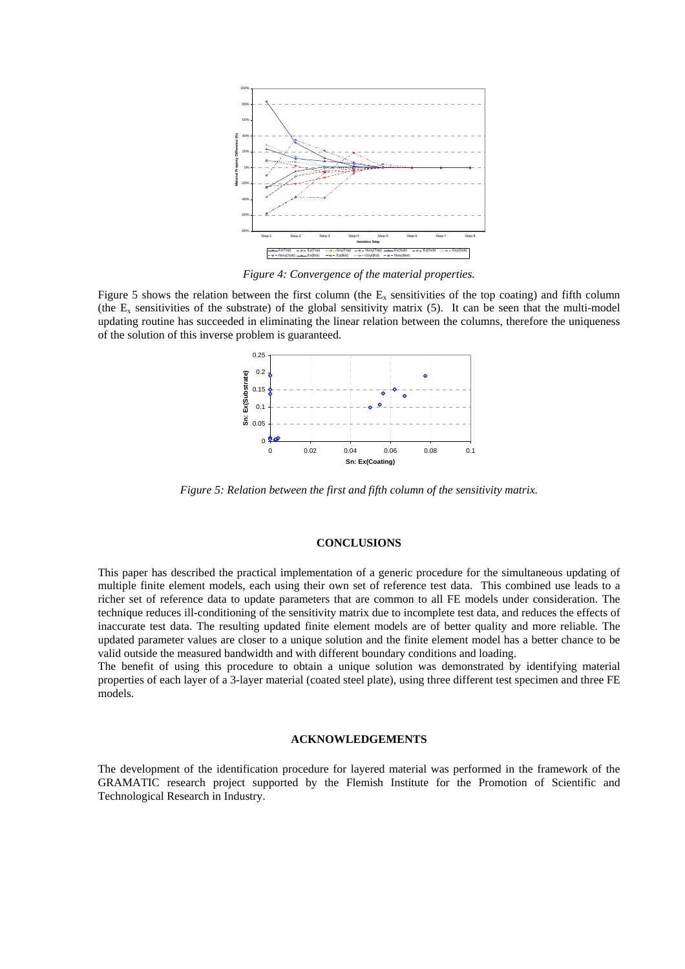<span id="page-6-0"></span>

*Figure 4: Convergence of the material properties.* 

[Figure 5](#page-6-1) shows the relation between the first column (the  $E<sub>x</sub>$  sensitivities of the top coating) and fifth column (the  $E_x$  sensitivities of the substrate) of the global sensitivity matrix [\(5\).](#page-5-0) It can be seen that the multi-model updating routine has succeeded in eliminating the linear relation between the columns, therefore the uniqueness of the solution of this inverse problem is guaranteed.

<span id="page-6-1"></span>

*Figure 5: Relation between the first and fifth column of the sensitivity matrix.*

## **CONCLUSIONS**

This paper has described the practical implementation of a generic procedure for the simultaneous updating of multiple finite element models, each using their own set of reference test data. This combined use leads to a richer set of reference data to update parameters that are common to all FE models under consideration. The technique reduces ill-conditioning of the sensitivity matrix due to incomplete test data, and reduces the effects of inaccurate test data. The resulting updated finite element models are of better quality and more reliable. The updated parameter values are closer to a unique solution and the finite element model has a better chance to be valid outside the measured bandwidth and with different boundary conditions and loading.

The benefit of using this procedure to obtain a unique solution was demonstrated by identifying material properties of each layer of a 3-layer material (coated steel plate), using three different test specimen and three FE models.

### **ACKNOWLEDGEMENTS**

The development of the identification procedure for layered material was performed in the framework of the GRAMATIC research project supported by the Flemish Institute for the Promotion of Scientific and Technological Research in Industry.